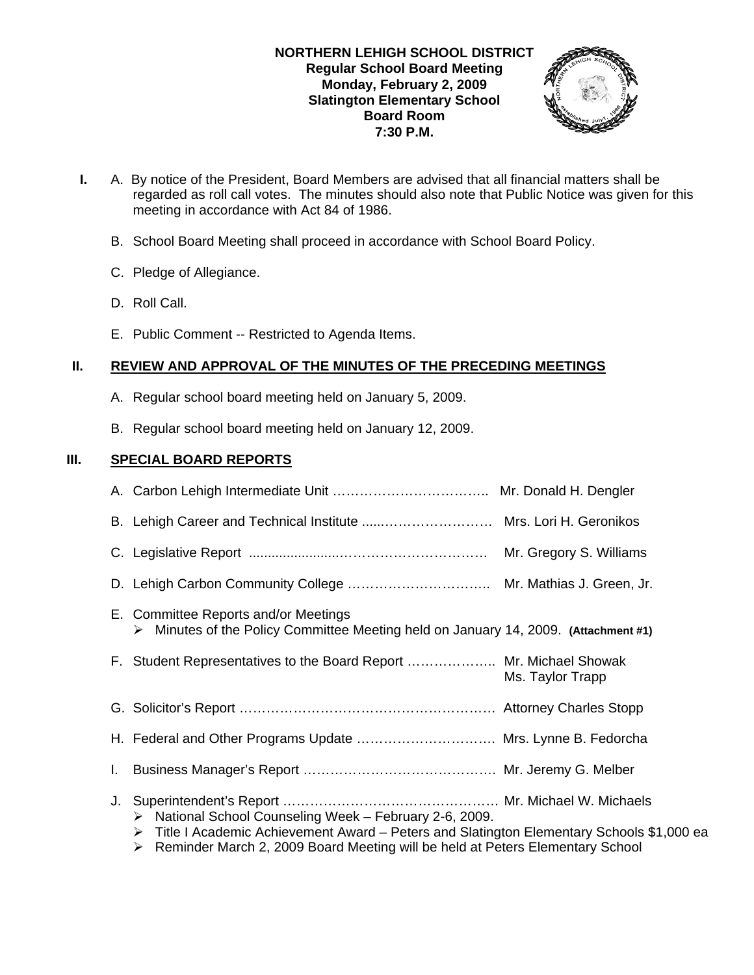## **NORTHERN LEHIGH SCHOOL DISTRICT Regular School Board Meeting Monday, February 2, 2009 Slatington Elementary School Board Room 7:30 P.M.**



- **I.** A. By notice of the President, Board Members are advised that all financial matters shall be regarded as roll call votes. The minutes should also note that Public Notice was given for this meeting in accordance with Act 84 of 1986.
	- B. School Board Meeting shall proceed in accordance with School Board Policy.
	- C. Pledge of Allegiance.
	- D. Roll Call.
	- E. Public Comment -- Restricted to Agenda Items.

## **II. REVIEW AND APPROVAL OF THE MINUTES OF THE PRECEDING MEETINGS**

- A. Regular school board meeting held on January 5, 2009.
- B. Regular school board meeting held on January 12, 2009.

## **III. SPECIAL BOARD REPORTS**

| B. Lehigh Career and Technical Institute  Mrs. Lori H. Geronikos                                                                                                     |                  |
|----------------------------------------------------------------------------------------------------------------------------------------------------------------------|------------------|
|                                                                                                                                                                      |                  |
|                                                                                                                                                                      |                  |
| E. Committee Reports and/or Meetings<br>$\triangleright$ Minutes of the Policy Committee Meeting held on January 14, 2009. (Attachment #1)                           |                  |
| F. Student Representatives to the Board Report  Mr. Michael Showak                                                                                                   | Ms. Taylor Trapp |
|                                                                                                                                                                      |                  |
| H. Federal and Other Programs Update  Mrs. Lynne B. Fedorcha                                                                                                         |                  |
|                                                                                                                                                                      |                  |
| > National School Counseling Week - February 2-6, 2009.<br>$\triangleright$ Title I Academic Achievement Award – Peters and Slatington Elementary Schools \$1,000 ea |                  |

¾ Reminder March 2, 2009 Board Meeting will be held at Peters Elementary School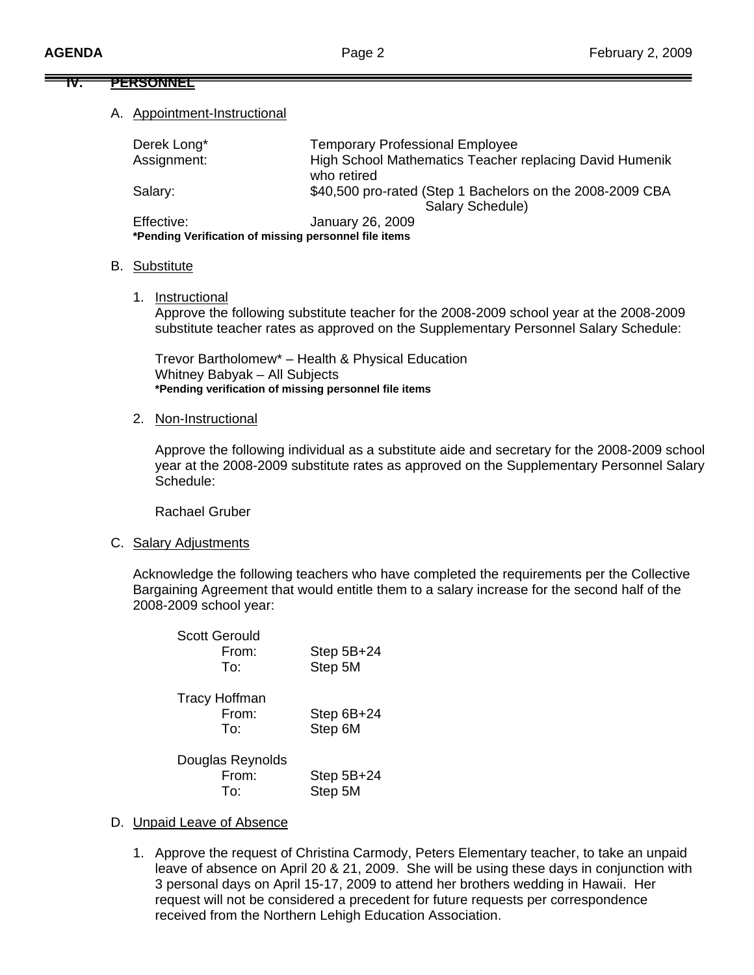#### **IV. PERSONNEL**

#### A. Appointment-Instructional

| Derek Long*                                           | <b>Temporary Professional Employee</b>                                        |  |
|-------------------------------------------------------|-------------------------------------------------------------------------------|--|
| Assignment:                                           | High School Mathematics Teacher replacing David Humenik<br>who retired        |  |
| Salary:                                               | \$40,500 pro-rated (Step 1 Bachelors on the 2008-2009 CBA<br>Salary Schedule) |  |
| Effective:                                            | January 26, 2009                                                              |  |
| *Pending Verification of missing personnel file items |                                                                               |  |

#### B. Substitute

1. Instructional

Approve the following substitute teacher for the 2008-2009 school year at the 2008-2009 substitute teacher rates as approved on the Supplementary Personnel Salary Schedule:

Trevor Bartholomew\* – Health & Physical Education Whitney Babyak – All Subjects **\*Pending verification of missing personnel file items** 

2. Non-Instructional

Approve the following individual as a substitute aide and secretary for the 2008-2009 school year at the 2008-2009 substitute rates as approved on the Supplementary Personnel Salary Schedule:

Rachael Gruber

C. Salary Adjustments

Acknowledge the following teachers who have completed the requirements per the Collective Bargaining Agreement that would entitle them to a salary increase for the second half of the 2008-2009 school year:

| <b>Scott Gerould</b><br>From:<br>To: | Step 5B+24<br>Step 5M   |
|--------------------------------------|-------------------------|
| Tracy Hoffman<br>From:<br>To:        | Step $6B+24$<br>Step 6M |
| Douglas Reynolds<br>From:<br>To:     | Step $5B+24$<br>Step 5M |

#### D. Unpaid Leave of Absence

1. Approve the request of Christina Carmody, Peters Elementary teacher, to take an unpaid leave of absence on April 20 & 21, 2009. She will be using these days in conjunction with 3 personal days on April 15-17, 2009 to attend her brothers wedding in Hawaii. Her request will not be considered a precedent for future requests per correspondence received from the Northern Lehigh Education Association.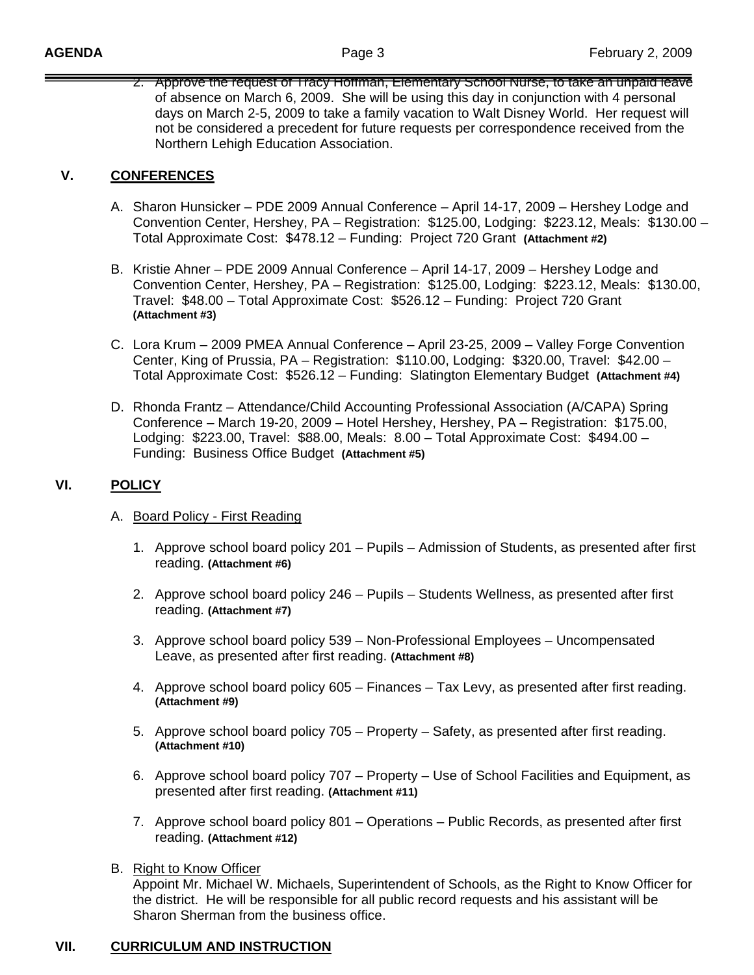2. Approve the request of Tracy Hoffman, Elementary School Nurse, to take an unpaid leave of absence on March 6, 2009. She will be using this day in conjunction with 4 personal days on March 2-5, 2009 to take a family vacation to Walt Disney World. Her request will not be considered a precedent for future requests per correspondence received from the Northern Lehigh Education Association.

## **V. CONFERENCES**

- A. Sharon Hunsicker PDE 2009 Annual Conference April 14-17, 2009 Hershey Lodge and Convention Center, Hershey, PA – Registration: \$125.00, Lodging: \$223.12, Meals: \$130.00 – Total Approximate Cost: \$478.12 – Funding: Project 720 Grant **(Attachment #2)**
- B. Kristie Ahner PDE 2009 Annual Conference April 14-17, 2009 Hershey Lodge and Convention Center, Hershey, PA – Registration: \$125.00, Lodging: \$223.12, Meals: \$130.00, Travel: \$48.00 – Total Approximate Cost: \$526.12 – Funding: Project 720 Grant  **(Attachment #3)**
- C. Lora Krum 2009 PMEA Annual Conference April 23-25, 2009 Valley Forge Convention Center, King of Prussia, PA – Registration: \$110.00, Lodging: \$320.00, Travel: \$42.00 – Total Approximate Cost: \$526.12 – Funding: Slatington Elementary Budget **(Attachment #4)**
- D. Rhonda Frantz Attendance/Child Accounting Professional Association (A/CAPA) Spring Conference – March 19-20, 2009 – Hotel Hershey, Hershey, PA – Registration: \$175.00, Lodging: \$223.00, Travel: \$88.00, Meals: 8.00 – Total Approximate Cost: \$494.00 – Funding: Business Office Budget **(Attachment #5)**

## **VI. POLICY**

- A. Board Policy First Reading
	- 1. Approve school board policy 201 Pupils Admission of Students, as presented after first reading. **(Attachment #6)**
	- 2. Approve school board policy 246 Pupils Students Wellness, as presented after first reading. **(Attachment #7)**
	- 3. Approve school board policy 539 Non-Professional Employees Uncompensated Leave, as presented after first reading. **(Attachment #8)**
	- 4. Approve school board policy 605 Finances Tax Levy, as presented after first reading. **(Attachment #9)**
	- 5. Approve school board policy 705 Property Safety, as presented after first reading. **(Attachment #10)**
	- 6. Approve school board policy 707 Property Use of School Facilities and Equipment, as presented after first reading. **(Attachment #11)**
	- 7. Approve school board policy 801 Operations Public Records, as presented after first reading. **(Attachment #12)**
- B. Right to Know Officer Appoint Mr. Michael W. Michaels, Superintendent of Schools, as the Right to Know Officer for the district. He will be responsible for all public record requests and his assistant will be Sharon Sherman from the business office.

#### **VII. CURRICULUM AND INSTRUCTION**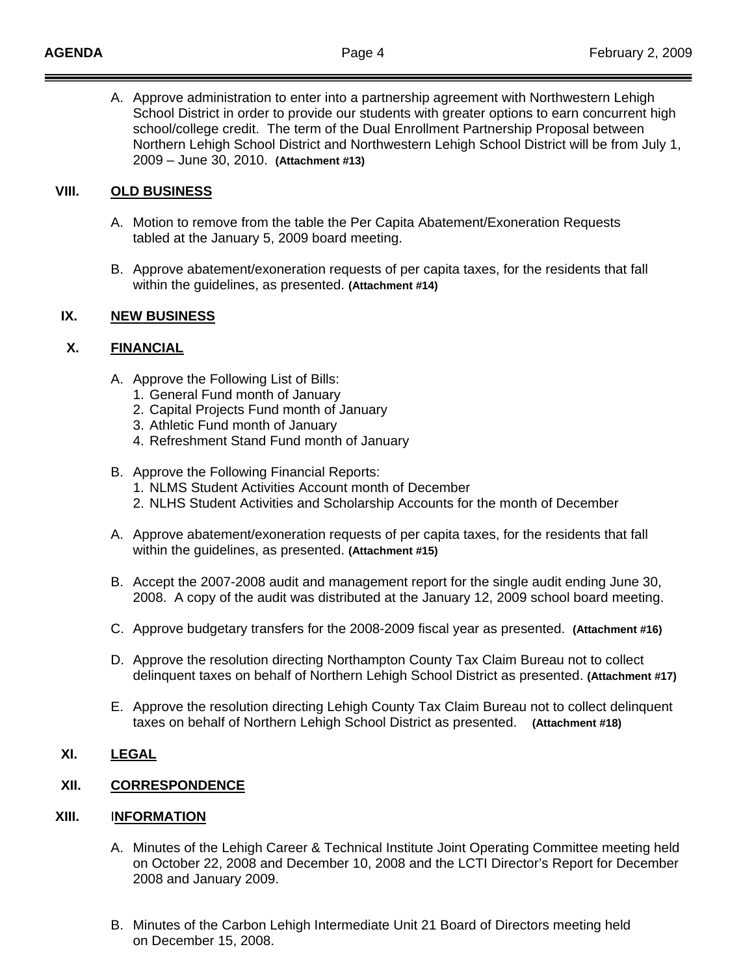A. Approve administration to enter into a partnership agreement with Northwestern Lehigh School District in order to provide our students with greater options to earn concurrent high school/college credit. The term of the Dual Enrollment Partnership Proposal between Northern Lehigh School District and Northwestern Lehigh School District will be from July 1, 2009 – June 30, 2010. **(Attachment #13)**

## **VIII. OLD BUSINESS**

- A. Motion to remove from the table the Per Capita Abatement/Exoneration Requests tabled at the January 5, 2009 board meeting.
- B. Approve abatement/exoneration requests of per capita taxes, for the residents that fall within the guidelines, as presented. **(Attachment #14)**

#### **IX. NEW BUSINESS**

#### **X. FINANCIAL**

- A. Approve the Following List of Bills:
	- 1. General Fund month of January
	- 2. Capital Projects Fund month of January
	- 3. Athletic Fund month of January
	- 4. Refreshment Stand Fund month of January
- B. Approve the Following Financial Reports:
	- 1. NLMS Student Activities Account month of December
	- 2. NLHS Student Activities and Scholarship Accounts for the month of December
- A. Approve abatement/exoneration requests of per capita taxes, for the residents that fall within the guidelines, as presented. **(Attachment #15)**
- B. Accept the 2007-2008 audit and management report for the single audit ending June 30, 2008. A copy of the audit was distributed at the January 12, 2009 school board meeting.
- C. Approve budgetary transfers for the 2008-2009 fiscal year as presented. **(Attachment #16)**
- D. Approve the resolution directing Northampton County Tax Claim Bureau not to collect delinquent taxes on behalf of Northern Lehigh School District as presented. **(Attachment #17)**
- E. Approve the resolution directing Lehigh County Tax Claim Bureau not to collect delinquent taxes on behalf of Northern Lehigh School District as presented. **(Attachment #18)**

## **XI. LEGAL**

## **XII. CORRESPONDENCE**

#### **XIII.** I**NFORMATION**

- A. Minutes of the Lehigh Career & Technical Institute Joint Operating Committee meeting held on October 22, 2008 and December 10, 2008 and the LCTI Director's Report for December 2008 and January 2009.
- B. Minutes of the Carbon Lehigh Intermediate Unit 21 Board of Directors meeting held on December 15, 2008.